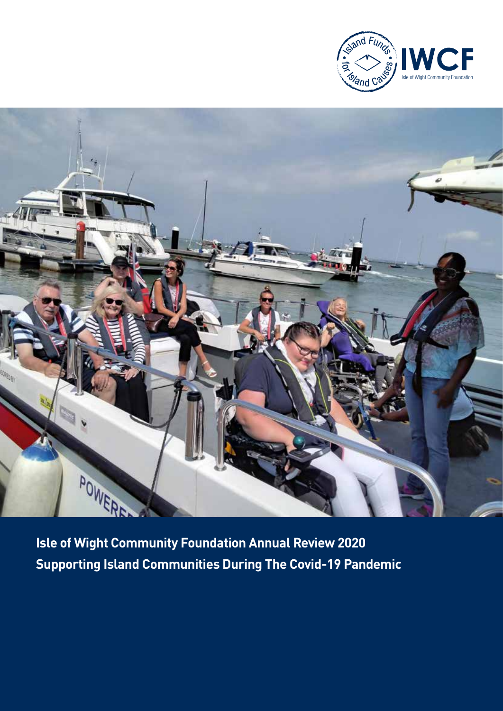



**Isle of Wight Community Foundation Annual Review 2020 Supporting Island Communities During The Covid-19 Pandemic**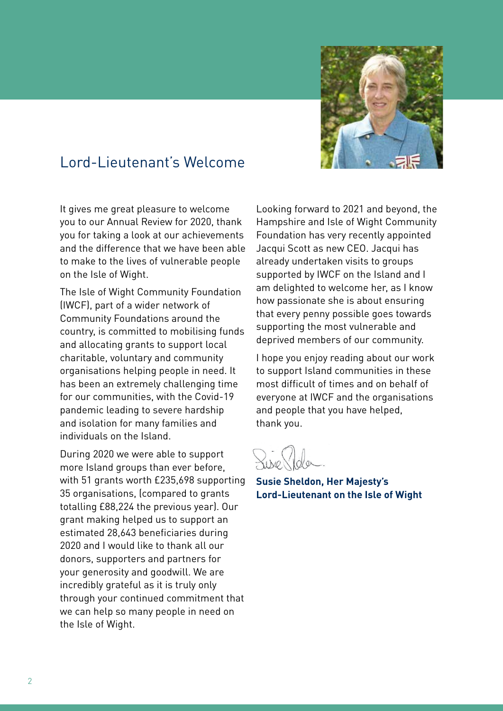## Lord-Lieutenant's Welcome

It gives me great pleasure to welcome you to our Annual Review for 2020, thank you for taking a look at our achievements and the difference that we have been able to make to the lives of vulnerable people on the Isle of Wight.

The Isle of Wight Community Foundation (IWCF), part of a wider network of Community Foundations around the country, is committed to mobilising funds and allocating grants to support local charitable, voluntary and community organisations helping people in need. It has been an extremely challenging time for our communities, with the Covid-19 pandemic leading to severe hardship and isolation for many families and individuals on the Island.

During 2020 we were able to support more Island groups than ever before, with 51 grants worth £235,698 supporting 35 organisations, (compared to grants totalling £88,224 the previous year). Our grant making helped us to support an estimated 28,643 beneficiaries during 2020 and I would like to thank all our donors, supporters and partners for your generosity and goodwill. We are incredibly grateful as it is truly only through your continued commitment that we can help so many people in need on the Isle of Wight.

Looking forward to 2021 and beyond, the Hampshire and Isle of Wight Community Foundation has very recently appointed Jacqui Scott as new CEO. Jacqui has already undertaken visits to groups supported by IWCF on the Island and I am delighted to welcome her, as I know how passionate she is about ensuring that every penny possible goes towards supporting the most vulnerable and deprived members of our community.

I hope you enjoy reading about our work to support Island communities in these most difficult of times and on behalf of everyone at IWCF and the organisations and people that you have helped, thank you.

**Susie Sheldon, Her Majesty's Lord-Lieutenant on the Isle of Wight**

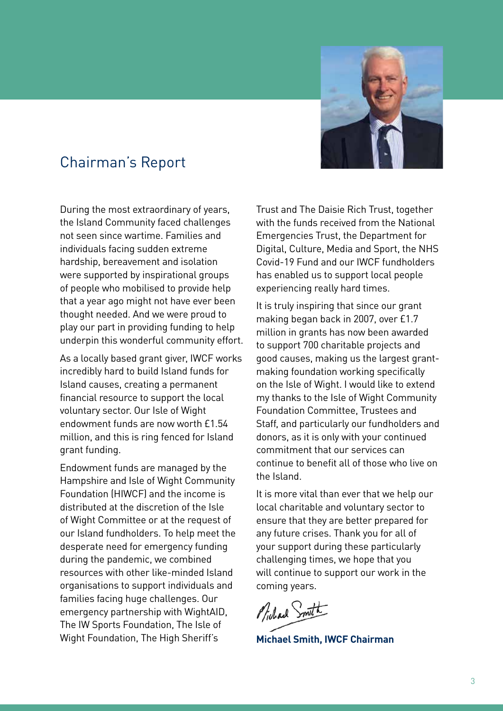# Chairman's Report

During the most extraordinary of years, the Island Community faced challenges not seen since wartime. Families and individuals facing sudden extreme hardship, bereavement and isolation were supported by inspirational groups of people who mobilised to provide help that a year ago might not have ever been thought needed. And we were proud to play our part in providing funding to help underpin this wonderful community effort.

As a locally based grant giver, IWCF works incredibly hard to build Island funds for Island causes, creating a permanent financial resource to support the local voluntary sector. Our Isle of Wight endowment funds are now worth £1.54 million, and this is ring fenced for Island grant funding.

Endowment funds are managed by the Hampshire and Isle of Wight Community Foundation (HIWCF) and the income is distributed at the discretion of the Isle of Wight Committee or at the request of our Island fundholders. To help meet the desperate need for emergency funding during the pandemic, we combined resources with other like-minded Island organisations to support individuals and families facing huge challenges. Our emergency partnership with WightAID, The IW Sports Foundation, The Isle of Wight Foundation, The High Sheriff's

Trust and The Daisie Rich Trust, together with the funds received from the National Emergencies Trust, the Department for Digital, Culture, Media and Sport, the NHS Covid-19 Fund and our IWCF fundholders has enabled us to support local people experiencing really hard times.

It is truly inspiring that since our grant making began back in 2007, over £1.7 million in grants has now been awarded to support 700 charitable projects and good causes, making us the largest grantmaking foundation working specifically on the Isle of Wight. I would like to extend my thanks to the Isle of Wight Community Foundation Committee, Trustees and Staff, and particularly our fundholders and donors, as it is only with your continued commitment that our services can continue to benefit all of those who live on the Island.

It is more vital than ever that we help our local charitable and voluntary sector to ensure that they are better prepared for any future crises. Thank you for all of your support during these particularly challenging times, we hope that you will continue to support our work in the coming years.

Probad Smith

**Michael Smith, IWCF Chairman**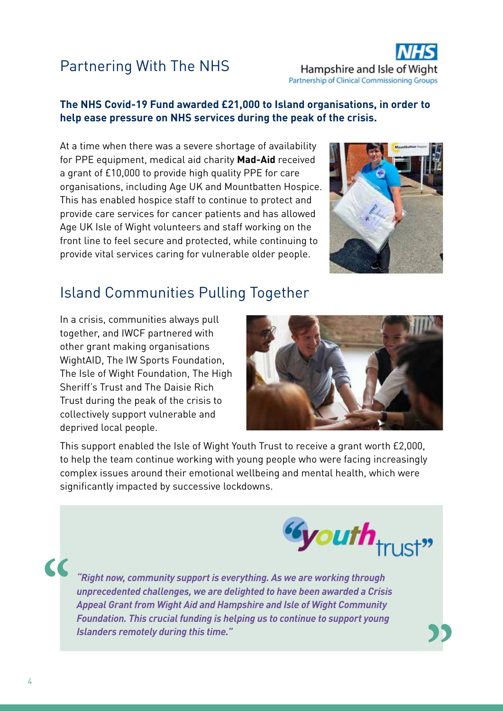# Partnering With The NHS

a grant of £10,000 to provide high quality PPE for care organisations, including Age UK and Mountbatten Hospice. This has enabled hospice staff to continue to protect and

provide care services for cancer patients and has allowed Age UK Isle of Wight volunteers and staff working on the front line to feel secure and protected, while continuing to provide vital services caring for vulnerable older people.

At a time when there was a severe shortage of availability for PPE equipment, medical aid charity **Mad-Aid** received

# Island Communities Pulling Together

In a crisis, communities always pull together, and IWCF partnered with other grant making organisations WightAID, The IW Sports Foundation, The Isle of Wight Foundation, The High Sheriff's Trust and The Daisie Rich Trust during the peak of the crisis to collectively support vulnerable and deprived local people.

This support enabled the Isle of Wight Youth Trust to receive a grant worth £2,000, to help the team continue working with young people who were facing increasingly complex issues around their emotional wellbeing and mental health, which were significantly impacted by successive lockdowns.

**The NHS Covid-19 Fund awarded £21,000 to Island organisations, in order to help ease pressure on NHS services during the peak of the crisis.** 

**"** *"Right now, community support is everything. As we are working through unprecedented challenges, we are delighted to have been awarded a Crisis Appeal Grant from Wight Aid and Hampshire and Isle of Wight Community Foundation. This crucial funding is helping us to continue to support young Islanders remotely during this time."*



**"**



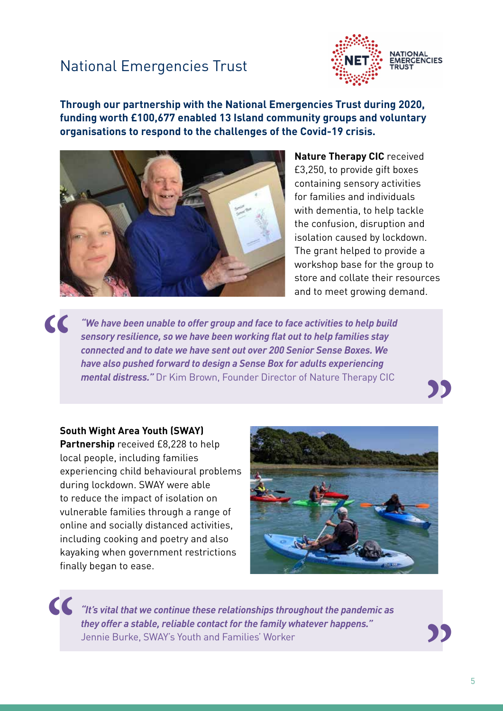### National Emergencies Trust



**Through our partnership with the National Emergencies Trust during 2020, funding worth £100,677 enabled 13 Island community groups and voluntary organisations to respond to the challenges of the Covid-19 crisis.**



**Nature Therapy CIC** received £3,250, to provide gift boxes containing sensory activities for families and individuals with dementia, to help tackle the confusion, disruption and isolation caused by lockdown. The grant helped to provide a workshop base for the group to store and collate their resources and to meet growing demand.

*"We have been unable to offer group and face to face activities to help build sensory resilience, so we have been working flat out to help families stay connected and to date we have sent out over 200 Senior Sense Boxes. We have also pushed forward to design a Sense Box for adults experiencing mental distress."* Dr Kim Brown, Founder Director of Nature Therapy CIC **"**

**"**

**South Wight Area Youth (SWAY) Partnership** received £8,228 to help local people, including families experiencing child behavioural problems during lockdown. SWAY were able to reduce the impact of isolation on vulnerable families through a range of online and socially distanced activities, including cooking and poetry and also kayaking when government restrictions finally began to ease.



*"It's vital that we continue these relationships throughout the pandemic as they offer a stable, reliable contact for the family whatever happens."* For the set of the set of the set of the pandemic as they offer a stable, reliable contact for the family whatever happens."<br>Jennie Burke, SWAY's Youth and Families' Worker **Property STATES**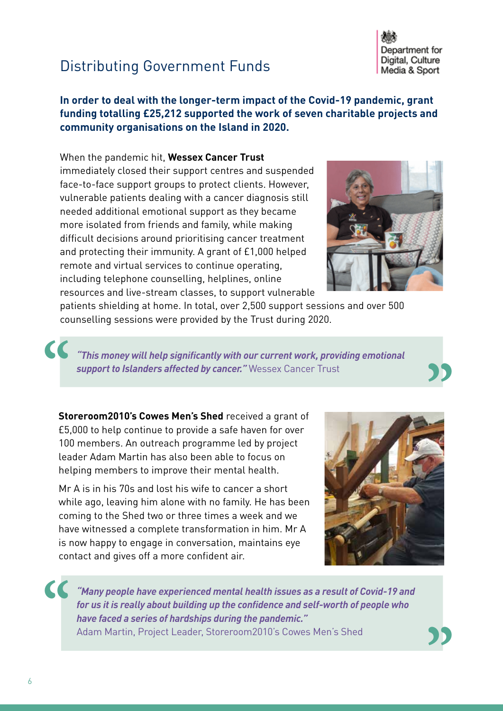## Distributing Government Funds

#### Department for Digital, Culture Media & Sport

**In order to deal with the longer-term impact of the Covid-19 pandemic, grant funding totalling £25,212 supported the work of seven charitable projects and community organisations on the Island in 2020.**

#### When the pandemic hit, **Wessex Cancer Trust**

immediately closed their support centres and suspended face-to-face support groups to protect clients. However, vulnerable patients dealing with a cancer diagnosis still needed additional emotional support as they became more isolated from friends and family, while making difficult decisions around prioritising cancer treatment and protecting their immunity. A grant of £1,000 helped remote and virtual services to continue operating, including telephone counselling, helplines, online resources and live-stream classes, to support vulnerable



patients shielding at home. In total, over 2,500 support sessions and over 500 counselling sessions were provided by the Trust during 2020.

*"This money will help significantly with our current work, providing emotional support to Islanders affected by cancer."* Wessex Cancer Trust **"**

**Storeroom2010's Cowes Men's Shed** received a grant of £5,000 to help continue to provide a safe haven for over 100 members. An outreach programme led by project leader Adam Martin has also been able to focus on helping members to improve their mental health.

Mr A is in his 70s and lost his wife to cancer a short while ago, leaving him alone with no family. He has been coming to the Shed two or three times a week and we have witnessed a complete transformation in him. Mr A is now happy to engage in conversation, maintains eye contact and gives off a more confident air.



*"Many people have experienced mental health issues as a result of Covid-19 and for us it is really about building up the confidence and self-worth of people who have faced a series of hardships during the pandemic."* Adam Martin, Project Leader, Storeroom2010's Cowes Men's Shed **"**



**"**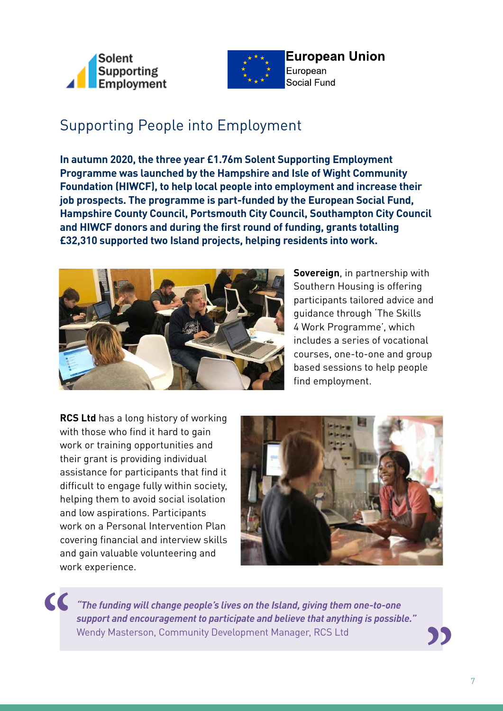



**European Union** Social Fund

## Supporting People into Employment

**In autumn 2020, the three year £1.76m Solent Supporting Employment Programme was launched by the Hampshire and Isle of Wight Community Foundation (HIWCF), to help local people into employment and increase their job prospects. The programme is part-funded by the European Social Fund, Hampshire County Council, Portsmouth City Council, Southampton City Council and HIWCF donors and during the first round of funding, grants totalling £32,310 supported two Island projects, helping residents into work.**



**Sovereign**, in partnership with Southern Housing is offering participants tailored advice and guidance through 'The Skills 4 Work Programme', which includes a series of vocational courses, one-to-one and group based sessions to help people find employment.

**RCS Ltd** has a long history of working with those who find it hard to gain work or training opportunities and their grant is providing individual assistance for participants that find it difficult to engage fully within society, helping them to avoid social isolation and low aspirations. Participants work on a Personal Intervention Plan covering financial and interview skills and gain valuable volunteering and work experience.

**"**



*"The funding will change people's lives on the Island, giving them one-to-one*  Wendy Masterson, Community Development Manager, RCS Ltd **"** *support and encouragement to participate and believe that anything is possible."*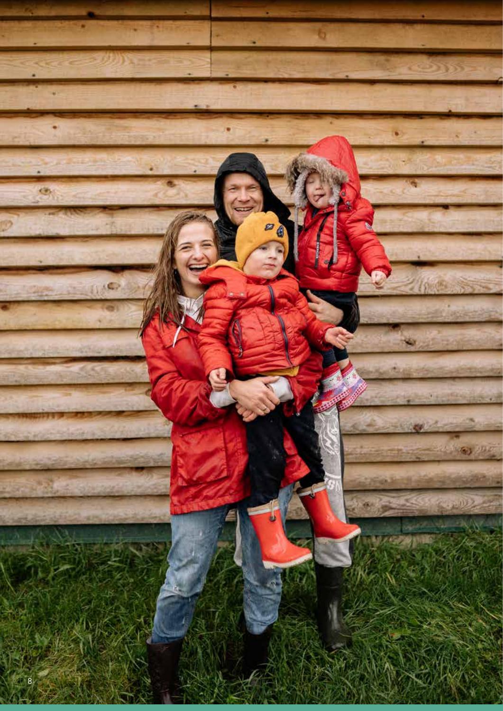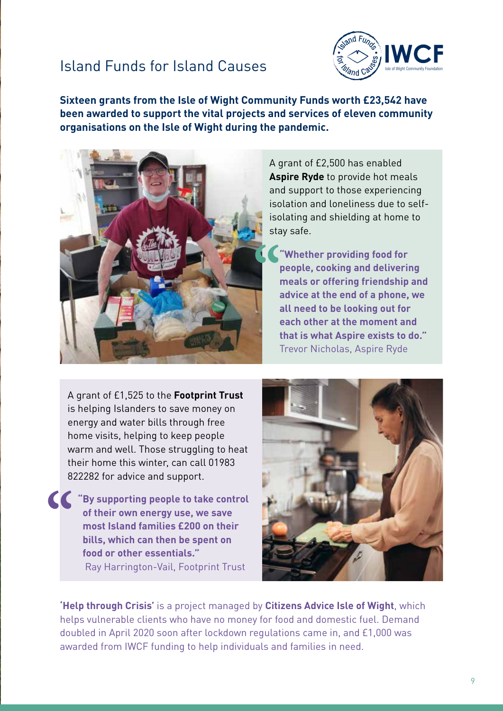### Island Funds for Island Causes



**Sixteen grants from the Isle of Wight Community Funds worth £23,542 have been awarded to support the vital projects and services of eleven community organisations on the Isle of Wight during the pandemic.**



A grant of £2,500 has enabled **Aspire Ryde** to provide hot meals and support to those experiencing isolation and loneliness due to selfisolating and shielding at home to stay safe.

 **"Whether providing food for people, cooking and delivering meals or offering friendship and advice at the end of a phone, we all need to be looking out for each other at the moment and that is what Aspire exists to do."**  Trevor Nicholas, Aspire Ryde

A grant of £1,525 to the **Footprint Trust**  is helping Islanders to save money on energy and water bills through free home visits, helping to keep people warm and well. Those struggling to heat their home this winter, can call 01983 822282 for advice and support.

**C** "By supporting people to take control<br>
of their own energy use, we save<br>
most Island families £200 on their<br>
bills, which can then be spent on<br>
food or other essentials " **of their own energy use, we save most Island families £200 on their bills, which can then be spent on food or other essentials."** Ray Harrington-Vail, Footprint Trust



**'Help through Crisis'** is a project managed by **Citizens Advice Isle of Wight**, which helps vulnerable clients who have no money for food and domestic fuel. Demand doubled in April 2020 soon after lockdown regulations came in, and £1,000 was awarded from IWCF funding to help individuals and families in need.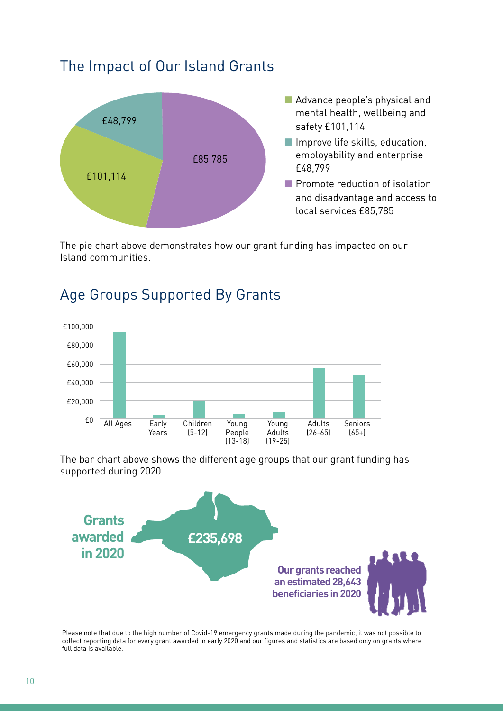#### The Impact of Our Island Grants



The pie chart above demonstrates how our grant funding has impacted on our Island communities.

#### All Ages Early Children Young Young Adults Seniors Years (5-12) People Adults (26-65) (65+)  $(13-18)$ £100,000 £80,000 £60,000 £40,000 £20,000 £0

#### Age Groups Supported By Grants

The bar chart above shows the different age groups that our grant funding has supported during 2020.



Please note that due to the high number of Covid-19 emergency grants made during the pandemic, it was not possible to collect reporting data for every grant awarded in early 2020 and our figures and statistics are based only on grants where full data is available.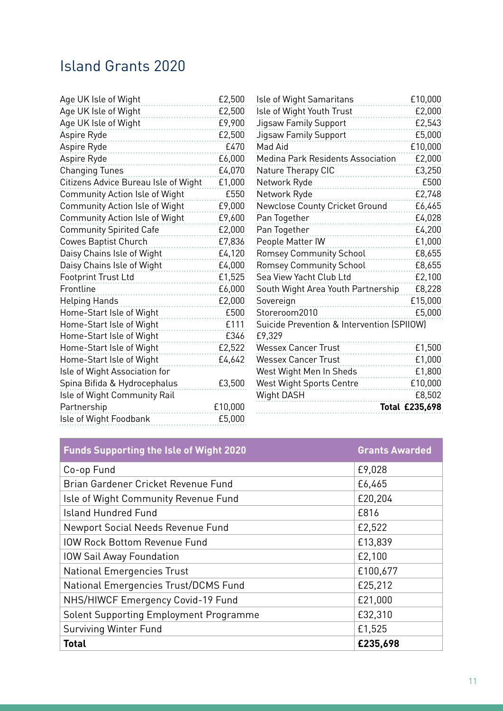# Island Grants 2020

| Age UK Isle of Wight                 | £2,500  |
|--------------------------------------|---------|
| Age UK Isle of Wight                 | £2,500  |
| Age UK Isle of Wight                 | £9,900  |
| Aspire Ryde<br>.                     | £2,500  |
| Aspire Ryde                          | £470    |
| Aspire Ryde                          | £6,000  |
| Changing Tunes                       | £4,070  |
| Citizens Advice Bureau Isle of Wight | £1,000  |
| Community Action Isle of Wight       | £550    |
| Community Action Isle of Wight       | £9,000  |
| Community Action Isle of Wight       | £9,600  |
| <b>Community Spirited Cafe</b>       | £2,000  |
| <b>Cowes Baptist Church</b>          | £7,836  |
| Daisy Chains Isle of Wight           | £4,120  |
| Daisy Chains Isle of Wight           | £4,000  |
| <b>Footprint Trust Ltd</b>           | £1,525  |
| Frontline                            | £6,000  |
| <b>Helping Hands</b>                 | £2,000  |
| Home-Start Isle of Wight<br>.        | £500    |
| Home-Start Isle of Wight             | £111    |
| Home-Start Isle of Wight             | £346    |
| Home-Start Isle of Wight             | £2,522  |
| Home-Start Isle of Wight             | £4,642  |
| Isle of Wight Association for        |         |
| Spina Bifida & Hydrocephalus         | £3,500  |
| Isle of Wight Community Rail         |         |
| Partnership                          | £10,000 |
| Isle of Wight Foodbank               | £5,000  |

| Isle of Wight Youth Trust<br>£2,000<br>Jigsaw Family Support<br>£2,543<br>£5,000<br>Jigsaw Family Support<br>Mad Aid<br>£10,000<br>Medina Park Residents Association<br>£2,000<br>£3,250<br>Nature Therapy CIC<br>Network Ryde<br>£500 |
|----------------------------------------------------------------------------------------------------------------------------------------------------------------------------------------------------------------------------------------|
|                                                                                                                                                                                                                                        |
|                                                                                                                                                                                                                                        |
|                                                                                                                                                                                                                                        |
|                                                                                                                                                                                                                                        |
|                                                                                                                                                                                                                                        |
|                                                                                                                                                                                                                                        |
|                                                                                                                                                                                                                                        |
| Network Ryde<br>£2,748                                                                                                                                                                                                                 |
| Newclose County Cricket Ground<br>£6,465                                                                                                                                                                                               |
| £4,028<br>Pan Together                                                                                                                                                                                                                 |
| £4,200<br>Pan Together                                                                                                                                                                                                                 |
| People Matter IW<br>£1,000                                                                                                                                                                                                             |
| <b>Romsey Community School</b><br>£8,655                                                                                                                                                                                               |
| <b>Romsey Community School</b><br>£8,655                                                                                                                                                                                               |
| Sea View Yacht Club Ltd<br>£2,100                                                                                                                                                                                                      |
| South Wight Area Youth Partnership<br>£8,228                                                                                                                                                                                           |
| £15,000<br>Sovereign                                                                                                                                                                                                                   |
| Storeroom2010<br>£5,000                                                                                                                                                                                                                |
| Suicide Prevention & Intervention (SPIIOW)                                                                                                                                                                                             |
| £9,329                                                                                                                                                                                                                                 |
| £1,500<br><b>Wessex Cancer Trust</b>                                                                                                                                                                                                   |
| <b>Wessex Cancer Trust</b><br>£1,000                                                                                                                                                                                                   |
| West Wight Men In Sheds<br>£1,800                                                                                                                                                                                                      |
| <b>West Wight Sports Centre</b><br>£10,000                                                                                                                                                                                             |
| Wight DASH<br>£8,502                                                                                                                                                                                                                   |
| Total £235,698                                                                                                                                                                                                                         |

| <b>Funds Supporting the Isle of Wight 2020</b> | <b>Grants Awarded</b> |
|------------------------------------------------|-----------------------|
| Co-op Fund                                     | £9,028                |
| Brian Gardener Cricket Revenue Fund            | £6,465                |
| Isle of Wight Community Revenue Fund           | £20,204               |
| <b>Island Hundred Fund</b>                     | £816                  |
| Newport Social Needs Revenue Fund              | £2,522                |
| <b>IOW Rock Bottom Revenue Fund</b>            | £13,839               |
| <b>IOW Sail Away Foundation</b>                | £2,100                |
| <b>National Emergencies Trust</b>              | £100,677              |
| National Emergencies Trust/DCMS Fund           | £25,212               |
| NHS/HIWCF Emergency Covid-19 Fund              | £21,000               |
| Solent Supporting Employment Programme         | £32,310               |
| <b>Surviving Winter Fund</b>                   | £1,525                |
| <b>Total</b>                                   | £235,698              |